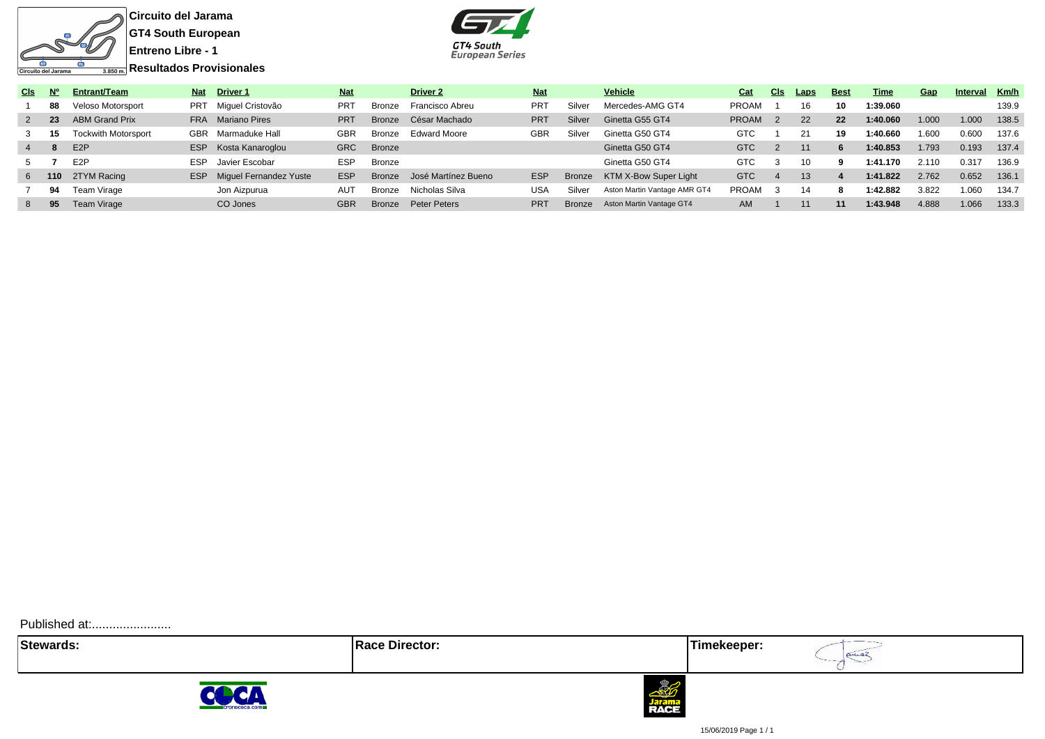

**Circuito del Jarama GT4 South European Entreno Libre - 1**



| CIs:           | <b>N°</b> | Entrant/Team               | <b>Nat</b> | <b>Driver 1</b>        | <b>Nat</b> |               | <b>Driver 2</b>     | <b>Nat</b>      |               | <b>Vehicle</b>               | Cat          | <b>CIS</b> | Laps | <b>Best</b> | Time     | Gap   | Interva | Km/h  |
|----------------|-----------|----------------------------|------------|------------------------|------------|---------------|---------------------|-----------------|---------------|------------------------------|--------------|------------|------|-------------|----------|-------|---------|-------|
|                | 88        | Veloso Motorsport          | PRT        | Miguel Cristovão       | <b>PRT</b> | Bronze        | Francisco Abreu     | PR <sub>1</sub> | Silver        | Mercedes-AMG GT4             | <b>PROAM</b> |            | 16   | 10          | 1:39.060 |       |         | 139.9 |
|                | 23        | <b>ABM Grand Prix</b>      | <b>FRA</b> | <b>Mariano Pires</b>   | <b>PRT</b> | <b>Bronze</b> | César Machado       | <b>PRT</b>      | Silver        | Ginetta G55 GT4              | <b>PROAM</b> |            | 22   | 22          | 1:40.060 | 1.000 | 1.000   | 138.5 |
|                | -15       | <b>Tockwith Motorsport</b> | GBR        | Marmaduke Hall         | <b>GBR</b> | Bronze        | <b>Edward Moore</b> | <b>GBR</b>      | Silver        | Ginetta G50 GT4              | GTC          |            | 21   | 19          | 1:40.660 | 1.600 | 0.600   | 137.6 |
| $\overline{4}$ |           | E <sub>2</sub> P           | <b>ESP</b> | Kosta Kanaroglou       | <b>GRC</b> | <b>Bronze</b> |                     |                 |               | Ginetta G50 GT4              | <b>GTC</b>   |            |      | b           | 1:40.853 | 1.793 | 0.193   | 137.4 |
|                |           | E2P                        | ESP        | Javier Escobar         | <b>ESP</b> | Bronze        |                     |                 |               | Ginetta G50 GT4              | GTC          |            | 10   |             | 1:41.170 | 2.110 | 0.317   | 136.9 |
| 6 110          |           | 2TYM Racing                | <b>ESP</b> | Miquel Fernandez Yuste | <b>ESP</b> | <b>Bronze</b> | José Martínez Bueno | <b>ESP</b>      | Bronze        | <b>KTM X-Bow Super Light</b> | <b>GTC</b>   |            | 13   |             | 1:41.822 | 2.762 | 0.652   | 136.1 |
|                | 94        | Team Virage                |            | Jon Aizpurua           | <b>AUT</b> | Bronze        | Nicholas Silva      | <b>USA</b>      | Silver        | Aston Martin Vantage AMR GT4 | <b>PROAM</b> |            | 14   |             | 1:42.882 | 3.822 | 1.060   | 134.7 |
| 8              | 95        | Team Virage                |            | CO Jones               | <b>GBR</b> | <b>Bronze</b> | Peter Peters        | <b>PRT</b>      | <b>Bronze</b> | Aston Martin Vantage GT4     | AM           |            |      | 11          | 1:43.948 | 4.888 | 1.066   | 133.3 |
|                |           |                            |            |                        |            |               |                     |                 |               |                              |              |            |      |             |          |       |         |       |

Published at:........................

**Stewards:** Timekeeper:

aniaz





15/06/2019 Page 1 / 1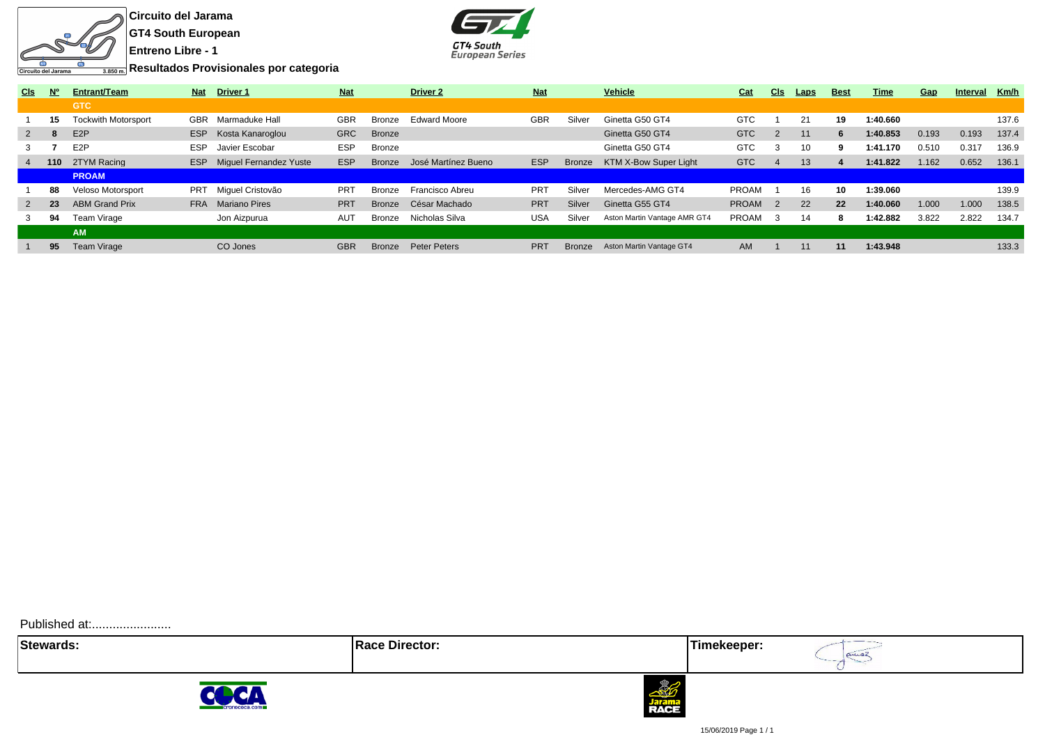

**Circuito del Jarama GT4 South European Entreno Libre - 1**



**Resultados Provisionales por categoria**

| <b>CIs</b>   | <b>No</b> | Entrant/Team               | <b>Nat</b> | <b>Driver 1</b>                   | <b>Nat</b> |               | <b>Driver 2</b>     | <b>Nat</b> |               | Vehicle                      | Cat          | CIs            | <b>Laps</b> | <b>Best</b> | Time     | Gap   | <b>Interval</b> | Km/h  |
|--------------|-----------|----------------------------|------------|-----------------------------------|------------|---------------|---------------------|------------|---------------|------------------------------|--------------|----------------|-------------|-------------|----------|-------|-----------------|-------|
|              |           | <b>GTC</b>                 |            |                                   |            |               |                     |            |               |                              |              |                |             |             |          |       |                 |       |
|              | 15        | <b>Tockwith Motorsport</b> | GBR        | Marmaduke Hall                    | <b>GBR</b> | Bronze        | <b>Edward Moore</b> | <b>GBR</b> | Silver        | Ginetta G50 GT4              | <b>GTC</b>   |                | 21          | 19          | 1:40.660 |       |                 | 137.6 |
| $2^{\circ}$  |           | E <sub>2</sub> P           | ESP        | Kosta Kanaroglou                  | <b>GRC</b> | <b>Bronze</b> |                     |            |               | Ginetta G50 GT4              | <b>GTC</b>   | 2              | 11          | 6           | 1:40.853 | 0.193 | 0.193           | 137.4 |
|              |           | E <sub>2</sub> P           | <b>ESP</b> | Javier Escobar                    | <b>ESP</b> | Bronze        |                     |            |               | Ginetta G50 GT4              | <b>GTC</b>   | 3              | 10          | 9           | 1:41.170 | 0.510 | 0.317           | 136.9 |
| $4 \quad$    | 110       | 2TYM Racing                |            | <b>ESP</b> Miquel Fernandez Yuste | <b>ESP</b> | <b>Bronze</b> | José Martínez Bueno | <b>ESP</b> | <b>Bronze</b> | KTM X-Bow Super Light        | <b>GTC</b>   | 4              | 13          |             | 1:41.822 | 1.162 | 0.652           | 136.1 |
|              |           | <b>PROAM</b>               |            |                                   |            |               |                     |            |               |                              |              |                |             |             |          |       |                 |       |
|              | 88        | Veloso Motorsport          | <b>PRT</b> | Miquel Cristovão                  | <b>PRT</b> | <b>Bronze</b> | Francisco Abreu     | <b>PRT</b> | Silver        | Mercedes-AMG GT4             | <b>PROAM</b> |                | 16          | 10          | 1:39.060 |       |                 | 139.9 |
| $\mathbf{2}$ | 23        | <b>ABM Grand Prix</b>      | <b>FRA</b> | <b>Mariano Pires</b>              | <b>PRT</b> | Bronze        | César Machado       | <b>PRT</b> | Silver        | Ginetta G55 GT4              | <b>PROAM</b> | $\overline{2}$ | 22          | 22          | 1:40.060 | 1.000 | 1.000           | 138.5 |
|              | 94        | Team Virage                |            | Jon Aizpurua                      | AUT        | <b>Bronze</b> | Nicholas Silva      | <b>USA</b> | Silver        | Aston Martin Vantage AMR GT4 | <b>PROAM</b> | 3              | 14          | 8           | 1:42.882 | 3.822 | 2.822           | 134.7 |
|              |           | <b>AM</b>                  |            |                                   |            |               |                     |            |               |                              |              |                |             |             |          |       |                 |       |
|              | 95        | <b>Team Virage</b>         |            | CO Jones                          | <b>GBR</b> | <b>Bronze</b> | <b>Peter Peters</b> | <b>PRT</b> | <b>Bronze</b> | Aston Martin Vantage GT4     | AM           |                | 11          | 11          | 1:43.948 |       |                 | 133.3 |
|              |           |                            |            |                                   |            |               |                     |            |               |                              |              |                |             |             |          |       |                 |       |

Published at:........................

**Stewards: Race Director: Timekeeper:**

aniaz





15/06/2019 Page 1 / 1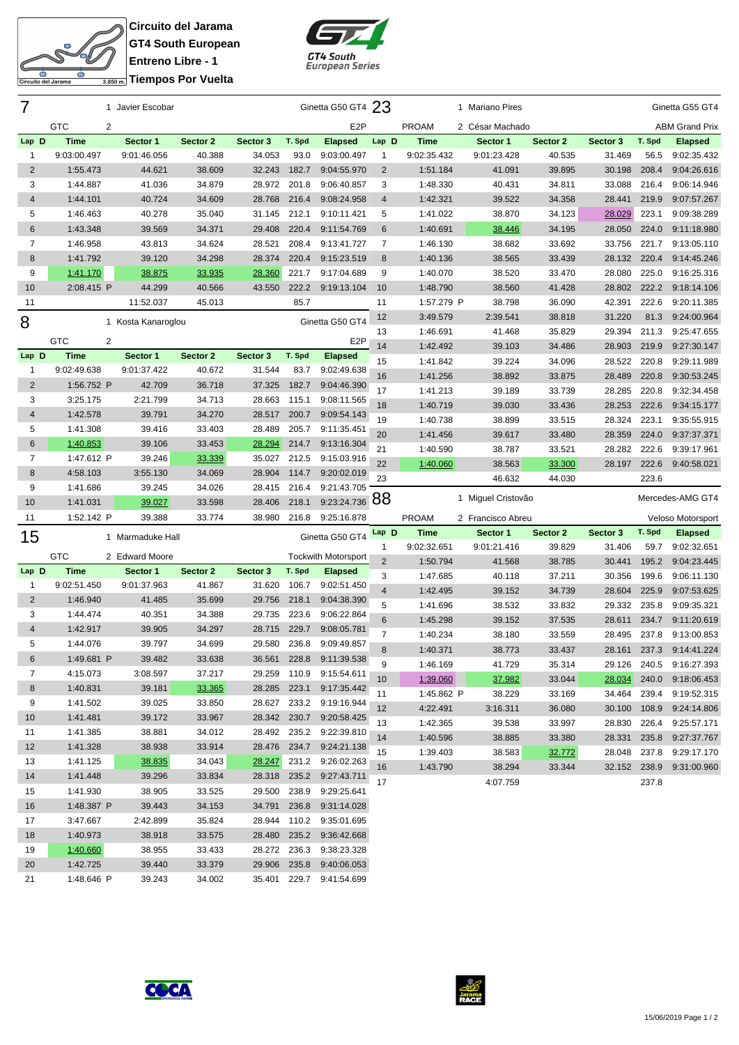

**Circuito del Jarama GT4 South European Entreno Libre - 1 Tiempos Por Vuelta**



| 7              |                      | 1 Javier Escobar   |                  |          |              | Ginetta G50 GT4 23                      |                |              | 1 Mariano Pires    |          |          |              | Ginetta G55 GT4          |
|----------------|----------------------|--------------------|------------------|----------|--------------|-----------------------------------------|----------------|--------------|--------------------|----------|----------|--------------|--------------------------|
|                | <b>GTC</b><br>2      |                    |                  |          |              | E <sub>2</sub> P                        |                | PROAM        | 2 César Machado    |          |          |              | <b>ABM Grand Prix</b>    |
| Lap D          | <b>Time</b>          | Sector 1           | Sector 2         | Sector 3 | T. Spd       | <b>Elapsed</b>                          | Lap D          | <b>Time</b>  | Sector 1           | Sector 2 | Sector 3 | T. Spd       | <b>Elapsed</b>           |
| $\mathbf{1}$   | 9:03:00.497          | 9:01:46.056        | 40.388           | 34.053   | 93.0         | 9:03:00.497                             | 1              | 9:02:35.432  | 9:01:23.428        | 40.535   | 31.469   | 56.5         | 9:02:35.432              |
| $\overline{2}$ | 1:55.473             | 44.621             | 38.609           | 32.243   | 182.7        | 9:04:55.970                             | $\overline{2}$ | 1:51.184     | 41.091             | 39.895   | 30.198   | 208.4        | 9:04:26.616              |
| 3              | 1:44.887             | 41.036             | 34.879           | 28.972   | 201.8        | 9:06:40.857                             | 3              | 1:48.330     | 40.431             | 34.811   | 33.088   | 216.4        | 9:06:14.946              |
| $\overline{4}$ | 1:44.101             | 40.724             | 34.609           | 28.768   | 216.4        | 9:08:24.958                             | $\overline{4}$ | 1:42.321     | 39.522             | 34.358   | 28.441   | 219.9        | 9:07:57.267              |
| 5              | 1:46.463             | 40.278             | 35.040           | 31.145   | 212.1        | 9:10:11.421                             | 5              | 1:41.022     | 38.870             | 34.123   | 28.029   | 223.1        | 9:09:38.289              |
| $6\phantom{1}$ | 1:43.348             | 39.569             | 34.371           | 29.408   | 220.4        | 9:11:54.769                             | 6              | 1:40.691     | 38.446             | 34.195   | 28.050   | 224.0        | 9:11:18.980              |
| 7              | 1:46.958             | 43.813             | 34.624           | 28.521   | 208.4        | 9:13:41.727                             | $\overline{7}$ | 1:46.130     | 38.682             | 33.692   | 33.756   | 221.7        | 9:13:05.110              |
| 8              | 1:41.792             | 39.120             | 34.298           | 28.374   | 220.4        | 9:15:23.519                             | 8              | 1:40.136     | 38.565             | 33.439   | 28.132   | 220.4        | 9:14:45.246              |
| 9              | 1:41.170             | 38.875             | 33.935           | 28.360   | 221.7        | 9:17:04.689                             | 9              | 1:40.070     | 38.520             | 33.470   | 28.080   | 225.0        | 9:16:25.316              |
| 10             | 2:08.415 P           | 44.299             | 40.566           | 43.550   | 222.2        | 9:19:13.104                             | 10             | 1:48.790     | 38.560             | 41.428   | 28.802   | 222.2        | 9:18:14.106              |
| 11             |                      | 11:52.037          | 45.013           |          | 85.7         |                                         | 11             | 1:57.279 P   | 38.798             | 36.090   | 42.391   | 222.6        | 9:20:11.385              |
| 8              |                      |                    |                  |          |              |                                         | 12             | 3:49.579     | 2:39.541           | 38.818   | 31.220   | 81.3         | 9:24:00.964              |
|                |                      | 1 Kosta Kanaroglou |                  |          |              | Ginetta G50 GT4                         | 13             | 1:46.691     | 41.468             | 35.829   | 29.394   | 211.3        | 9:25:47.655              |
|                | <b>GTC</b><br>2      |                    |                  |          |              | E <sub>2</sub> P                        | 14             | 1:42.492     | 39.103             | 34.486   | 28.903   | 219.9        | 9:27:30.147              |
| Lap D          | <b>Time</b>          | Sector 1           | Sector 2         | Sector 3 | T. Spd       | <b>Elapsed</b>                          | 15             | 1:41.842     | 39.224             | 34.096   | 28.522   | 220.8        | 9:29:11.989              |
| $\mathbf{1}$   | 9:02:49.638          | 9:01:37.422        | 40.672           | 31.544   | 83.7         | 9:02:49.638                             | 16             | 1:41.256     | 38.892             | 33.875   | 28.489   | 220.8        | 9:30:53.245              |
| $\overline{2}$ | 1:56.752 P           | 42.709             | 36.718           | 37.325   | 182.7        | 9:04:46.390                             | 17             | 1:41.213     | 39.189             | 33.739   | 28.285   | 220.8        | 9:32:34.458              |
| 3              | 3:25.175             | 2:21.799           | 34.713           | 28.663   | 115.1        | 9:08:11.565                             | 18             | 1:40.719     | 39.030             | 33.436   | 28.253   | 222.6        | 9:34:15.177              |
| $\overline{4}$ | 1:42.578             | 39.791             | 34.270           | 28.517   | 200.7        | 9:09:54.143                             | 19             | 1:40.738     | 38.899             | 33.515   | 28.324   | 223.1        | 9:35:55.915              |
| 5              | 1:41.308             | 39.416             | 33.403           | 28.489   | 205.7        | 9:11:35.451                             | 20             | 1:41.456     | 39.617             | 33.480   | 28.359   | 224.0        | 9:37:37.371              |
| 6              | 1:40.853             | 39.106             | 33.453           | 28.294   | 214.7        | 9:13:16.304                             | 21             | 1:40.590     | 38.787             | 33.521   | 28.282   | 222.6        | 9:39:17.961              |
| $\overline{7}$ | 1:47.612 P           | 39.246             | 33.339           | 35.027   | 212.5        | 9:15:03.916                             | 22             | 1:40.060     | 38.563             | 33.300   | 28.197   | 222.6        | 9:40:58.021              |
| 8              | 4:58.103             | 3:55.130           | 34.069           | 28.904   | 114.7        | 9:20:02.019                             | 23             |              | 46.632             | 44.030   |          | 223.6        |                          |
| 9              | 1:41.686             | 39.245             | 34.026           | 28.415   | 216.4        | 9:21:43.705                             |                |              |                    |          |          |              |                          |
| 10             | 1:41.031             | 39.027             |                  | 28.406   | 218.1        | 9:23:24.736                             | 88             |              | 1 Miguel Cristovão |          |          |              | Mercedes-AMG GT4         |
|                |                      |                    | 33.598           |          |              |                                         |                |              |                    |          |          |              |                          |
| 11             | 1:52.142 P           | 39.388             | 33.774           | 38.980   | 216.8        | 9:25:16.878                             |                | <b>PROAM</b> | 2 Francisco Abreu  |          |          |              | Veloso Motorsport        |
|                |                      | 1 Marmaduke Hall   |                  |          |              | Ginetta G50 GT4                         | Lap D          | <b>Time</b>  | Sector 1           | Sector 2 | Sector 3 | T. Spd       | <b>Elapsed</b>           |
| 15             |                      |                    |                  |          |              |                                         | 1              | 9:02:32.651  | 9:01:21.416        | 39.829   | 31.406   | 59.7         | 9:02:32.651              |
|                | <b>GTC</b>           | 2 Edward Moore     |                  |          |              | <b>Tockwith Motorsport</b>              | $\overline{2}$ | 1:50.794     | 41.568             | 38.785   | 30.441   | 195.2        | 9:04:23.445              |
| Lap D          | <b>Time</b>          | Sector 1           | Sector 2         | Sector 3 | T. Spd       | <b>Elapsed</b>                          | 3              | 1:47.685     | 40.118             | 37.211   | 30.356   | 199.6        | 9:06:11.130              |
| 1              | 9:02:51.450          | 9:01:37.963        | 41.867           | 31.620   | 106.7        | 9:02:51.450                             | $\overline{4}$ | 1:42.495     | 39.152             | 34.739   | 28.604   | 225.9        | 9:07:53.625              |
| $\overline{2}$ | 1:46.940             | 41.485             | 35.699           | 29.756   | 218.1        | 9:04:38.390                             | 5              | 1:41.696     | 38.532             | 33.832   | 29.332   | 235.8        | 9:09:35.321              |
| 3              | 1:44.474             | 40.351             | 34.388           | 29.735   | 223.6        | 9:06:22.864                             | 6              | 1:45.298     | 39.152             | 37.535   | 28.611   | 234.7        | 9:11:20.619              |
| $\overline{4}$ | 1:42.917             | 39.905             | 34.297           | 28.715   | 229.7        | 9:08:05.781                             | $\overline{7}$ | 1:40.234     | 38.180             | 33.559   | 28.495   | 237.8        | 9:13:00.853              |
| 5              | 1:44.076             | 39.797             | 34.699           | 29.580   | 236.8        | 9:09:49.857                             | 8              | 1:40.371     | 38.773             | 33.437   | 28.161   | 237.3        | 9:14:41.224              |
| 6              | 1:49.681 P           | 39.482             | 33.638           | 36.561   |              | 228.8 9:11:39.538                       | 9              | 1:46.169     | 41.729             | 35.314   |          |              | 29.126 240.5 9:16:27.393 |
| $\overline{7}$ | 4:15.073             | 3:08.597           | 37.217           | 29.259   | 110.9        | 9:15:54.611                             | 10             | 1:39.060     | 37.982             | 33.044   | 28.034   | 240.0        | 9:18:06.453              |
| 8              | 1:40.831             | 39.181             | 33.365           | 28.285   | 223.1        | 9:17:35.442                             | 11             | 1:45.862 P   | 38.229             | 33.169   | 34.464   | 239.4        | 9:19:52.315              |
| 9              | 1:41.502             | 39.025             | 33.850           |          |              | 28.627 233.2 9:19:16.944                | 12             | 4:22.491     | 3:16.311           | 36.080   | 30.100   | 108.9        | 9:24:14.806              |
| 10             | 1:41.481             | 39.172             | 33.967           |          |              | 28.342 230.7 9:20:58.425                | 13             | 1:42.365     | 39.538             | 33.997   | 28.830   | 226.4        | 9:25:57.171              |
| 11             | 1:41.385             | 38.881             | 34.012           |          |              | 28.492 235.2 9:22:39.810                | 14             | 1:40.596     | 38.885             | 33.380   | 28.331   | 235.8        | 9:27:37.767              |
| 12             | 1:41.328             | 38.938             | 33.914           |          | 28.476 234.7 | 9:24:21.138                             | 15             | 1:39.403     | 38.583             | 32.772   | 28.048   | 237.8        | 9:29:17.170              |
| 13             | 1:41.125             | 38.835             | 34.043           | 28.247   |              | 231.2 9:26:02.263                       | 16             | 1:43.790     | 38.294             | 33.344   |          | 32.152 238.9 | 9:31:00.960              |
| 14             | 1:41.448             | 39.296             | 33.834           | 28.318   |              | 235.2 9:27:43.711                       | 17             |              | 4:07.759           |          |          | 237.8        |                          |
| 15             | 1:41.930             | 38.905             | 33.525           | 29.500   | 238.9        | 9:29:25.641                             |                |              |                    |          |          |              |                          |
| 16             | 1:48.387 P           | 39.443             | 34.153           | 34.791   | 236.8        | 9:31:14.028                             |                |              |                    |          |          |              |                          |
| 17             | 3:47.667             | 2:42.899           | 35.824           | 28.944   | 110.2        | 9:35:01.695                             |                |              |                    |          |          |              |                          |
| 18             | 1:40.973             | 38.918             | 33.575           | 28.480   | 235.2        | 9:36:42.668                             |                |              |                    |          |          |              |                          |
| 19<br>20       | 1:40.660<br>1:42.725 | 38.955<br>39.440   | 33.433<br>33.379 | 28.272   | 236.3        | 9:38:23.328<br>29.906 235.8 9:40:06.053 |                |              |                    |          |          |              |                          |



1:48.646 P 39.243 34.002 35.401 229.7 9:41:54.699

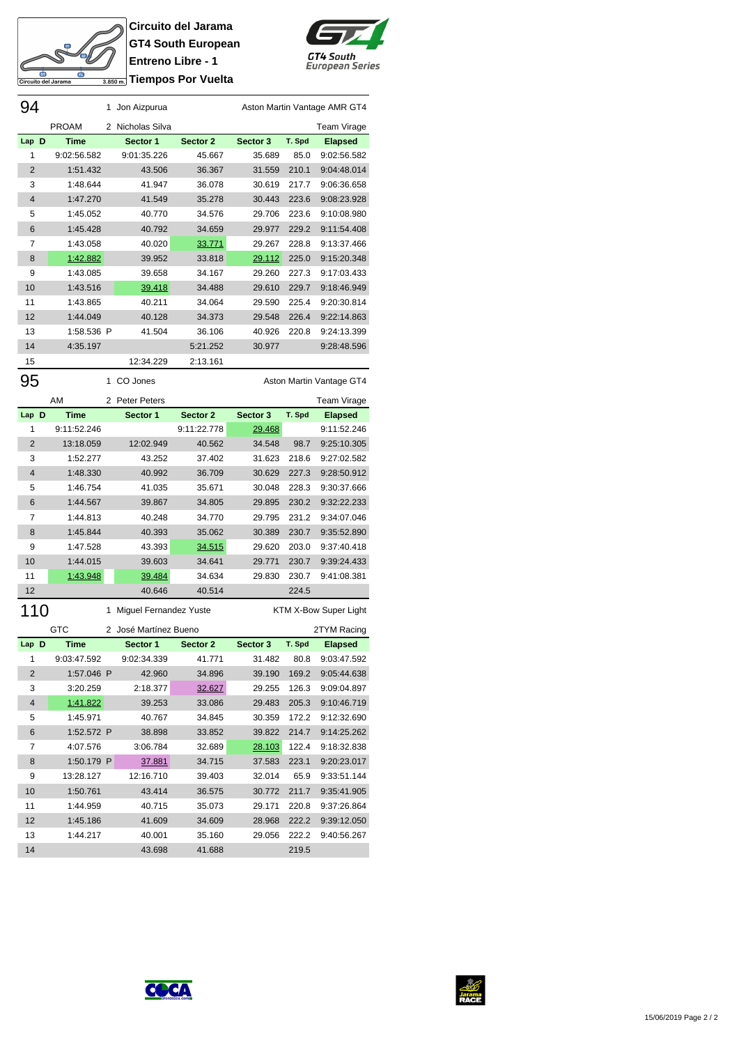

**Circuito del Jarama GT4 South European Entreno Libre - 1 Triempos Por Vuelta** 



| 94             |              | 1              | Jon Aizpurua        |             |          |        | Aston Martin Vantage AMR GT4 |
|----------------|--------------|----------------|---------------------|-------------|----------|--------|------------------------------|
|                | <b>PROAM</b> | 2              | Nicholas Silva      |             |          |        | Team Virage                  |
| D<br>Lap       | <b>Time</b>  |                | Sector 1            | Sector 2    | Sector 3 | T. Spd | <b>Elapsed</b>               |
| 1              | 9:02:56.582  |                | 9:01:35.226         | 45.667      | 35.689   | 85.0   | 9:02:56.582                  |
| $\overline{2}$ | 1:51.432     |                | 43.506              | 36.367      | 31.559   | 210.1  | 9:04:48.014                  |
| 3              | 1:48.644     |                | 41.947              | 36.078      | 30.619   | 217.7  | 9:06:36.658                  |
| $\overline{4}$ | 1:47.270     |                | 41.549              | 35.278      | 30.443   | 223.6  | 9:08:23.928                  |
| 5              | 1:45.052     |                | 40.770              | 34.576      | 29.706   | 223.6  | 9:10:08.980                  |
| 6              | 1:45.428     |                | 40.792              | 34.659      | 29.977   | 229.2  | 9:11:54.408                  |
| 7              | 1:43.058     |                | 40.020              | 33.771      | 29.267   | 228.8  | 9:13:37.466                  |
| 8              | 1:42.882     |                | 39.952              | 33.818      | 29.112   | 225.0  | 9:15:20.348                  |
| 9              | 1:43.085     |                | 39.658              | 34.167      | 29.260   | 227.3  | 9:17:03.433                  |
| 10             | 1:43.516     |                | 39.418              | 34.488      | 29.610   | 229.7  | 9:18:46.949                  |
| 11             | 1:43.865     |                | 40.211              | 34.064      | 29.590   | 225.4  | 9:20:30.814                  |
| 12             | 1:44.049     |                | 40.128              | 34.373      | 29.548   | 226.4  | 9:22:14.863                  |
| 13             | 1:58.536 P   |                | 41.504              | 36.106      | 40.926   | 220.8  | 9:24:13.399                  |
| 14             | 4:35.197     |                |                     | 5:21.252    | 30.977   |        | 9:28:48.596                  |
| 15             |              |                | 12:34.229           | 2:13.161    |          |        |                              |
| 95             |              | 1              | CO Jones            |             |          |        | Aston Martin Vantage GT4     |
|                | AM           | $\overline{2}$ | <b>Peter Peters</b> |             |          |        | <b>Team Virage</b>           |
| Lap D          | <b>Time</b>  |                | Sector 1            | Sector 2    | Sector 3 | T. Spd | <b>Elapsed</b>               |
| 1              | 9:11:52.246  |                |                     | 9:11:22.778 | 29.468   |        | 9:11:52.246                  |
| $\Omega$       | 10.1000      |                | 10.000010           | 10ECO       | 24E10    | 007    | 0.2540.205                   |

| 2              | 13:18.059 | 12:02.949 | 40.562 | 34.548 | 98.7  | 9:25:10.305 |
|----------------|-----------|-----------|--------|--------|-------|-------------|
| 3              | 1:52.277  | 43.252    | 37.402 | 31.623 | 218.6 | 9:27:02.582 |
| $\overline{4}$ | 1:48.330  | 40.992    | 36.709 | 30.629 | 227.3 | 9:28:50.912 |
| 5              | 1:46.754  | 41.035    | 35.671 | 30.048 | 228.3 | 9:30:37.666 |
| 6              | 1:44.567  | 39.867    | 34.805 | 29.895 | 230.2 | 9:32:22.233 |
| 7              | 1:44.813  | 40.248    | 34.770 | 29.795 | 231.2 | 9:34:07.046 |
| 8              | 1:45.844  | 40.393    | 35.062 | 30.389 | 230.7 | 9:35:52.890 |
| 9              | 1:47.528  | 43.393    | 34.515 | 29.620 | 203.0 | 9:37:40.418 |
| 10             | 1:44.015  | 39.603    | 34.641 | 29.771 | 230.7 | 9:39:24.433 |
| 11             | 1:43.948  | 39.484    | 34.634 | 29.830 | 230.7 | 9:41:08.381 |
| 12             |           | 40.646    | 40.514 |        | 224.5 |             |

| 110            |             | 1             | Miguel Fernandez Yuste |          |          |        | KTM X-Bow Super Light |
|----------------|-------------|---------------|------------------------|----------|----------|--------|-----------------------|
|                | GTC         | $\mathcal{P}$ | José Martínez Bueno    |          |          |        | 2TYM Racing           |
| Lap D          | <b>Time</b> |               | Sector 1               | Sector 2 | Sector 3 | T. Spd | <b>Elapsed</b>        |
| 1              | 9:03:47.592 |               | 9:02:34.339            | 41 771   | 31.482   | 80.8   | 9:03:47.592           |
| 2              | 1:57.046 P  |               | 42.960                 | 34.896   | 39.190   | 169.2  | 9:05:44.638           |
| 3              | 3:20.259    |               | 2:18.377               | 32.627   | 29.255   | 126.3  | 9:09:04.897           |
| $\overline{4}$ | 1:41.822    |               | 39.253                 | 33.086   | 29.483   | 205.3  | 9:10:46.719           |
| 5              | 1:45.971    |               | 40.767                 | 34.845   | 30.359   | 172.2  | 9:12:32.690           |
| 6              | 1:52.572 P  |               | 38.898                 | 33.852   | 39.822   | 214.7  | 9:14:25.262           |
| 7              | 4:07.576    |               | 3:06.784               | 32.689   | 28.103   | 122.4  | 9:18:32.838           |
| 8              | 1:50.179 P  |               | 37.881                 | 34.715   | 37.583   | 223.1  | 9:20:23.017           |
| 9              | 13.28127    |               | 12:16.710              | 39.403   | 32.014   | 65.9   | 9:33:51.144           |
| 10             | 1:50.761    |               | 43.414                 | 36.575   | 30.772   | 211.7  | 9:35:41.905           |
| 11             | 1:44.959    |               | 40.715                 | 35.073   | 29.171   | 220.8  | 9:37:26.864           |
| 12             | 1:45.186    |               | 41.609                 | 34.609   | 28.968   | 222.2  | 9:39:12.050           |
| 13             | 1:44.217    |               | 40.001                 | 35.160   | 29.056   | 222.2  | 9:40:56.267           |
| 14             |             |               | 43.698                 | 41.688   |          | 219.5  |                       |



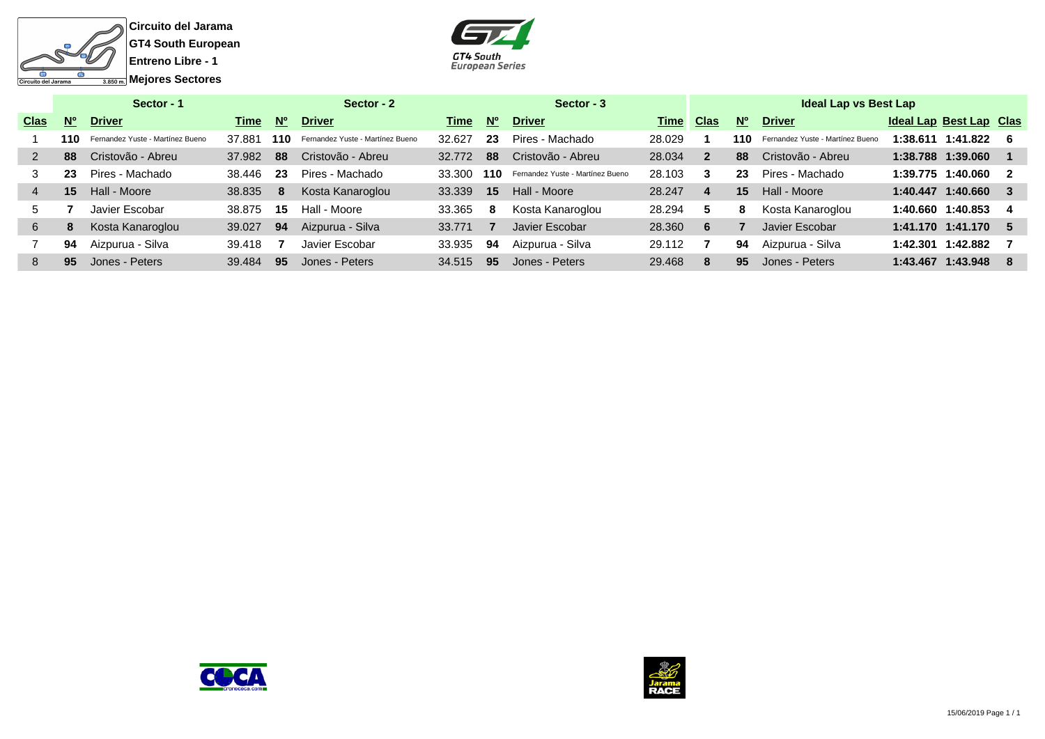



|             |             | Sector - 1                       |        |             | Sector - $2$                     |        |           | Sector - 3                       |        |                         |           | <b>Ideal Lap vs Best Lap</b>     |          |                                |     |
|-------------|-------------|----------------------------------|--------|-------------|----------------------------------|--------|-----------|----------------------------------|--------|-------------------------|-----------|----------------------------------|----------|--------------------------------|-----|
| <b>Clas</b> | $N^{\circ}$ | <b>Driver</b>                    | Time   | $N^{\circ}$ | <b>Driver</b>                    | Time   | <b>No</b> | <b>Driver</b>                    | Time   | <b>Clas</b>             | <b>N°</b> | <b>Driver</b>                    |          | <b>Ideal Lap Best Lap Clas</b> |     |
|             | 110         | Fernandez Yuste - Martínez Bueno | 37.881 | 110         | Fernandez Yuste - Martínez Bueno | 32.627 | 23        | Pires - Machado                  | 28.029 |                         | 110       | Fernandez Yuste - Martínez Bueno |          | $1:38.611$ $1:41.822$ 6        |     |
|             | 88          | Cristovão - Abreu                | 37.982 | 88          | Cristovão - Abreu                | 32.772 | 88        | Cristovão - Abreu                | 28.034 | $\overline{2}$          | 88        | Cristovão - Abreu                |          | 1:38.788 1:39.060              |     |
|             | 23          | Pires - Machado                  | 38.446 | 23          | Pires - Machado                  | 33,300 | 110       | Fernandez Yuste - Martínez Bueno | 28.103 | 3                       | 23        | Pires - Machado                  |          | 1:39.775 1:40.060              | 2   |
|             | 15          | Hall - Moore                     | 38.835 | 8           | Kosta Kanaroglou                 | 33.339 | 15        | Hall - Moore                     | 28.247 | $\overline{\mathbf{4}}$ | 15        | Hall - Moore                     |          | 1:40.447 1:40.660 3            |     |
| 5.          |             | Javier Escobar                   | 38.875 | 15          | Hall - Moore                     | 33.365 | 8         | Kosta Kanaroglou                 | 28.294 | 5                       | 8         | Kosta Kanaroglou                 |          | 1:40.660 1:40.853              | -4  |
| 6           | 8           | Kosta Kanaroglou                 | 39.027 | 94          | Aizpurua - Silva                 | 33.771 |           | Javier Escobar                   | 28,360 | 6                       |           | Javier Escobar                   |          | $1:41.170$ $1:41.170$ 5        |     |
|             | 94          | Aizpurua - Silva                 | 39.418 |             | Javier Escobar                   | 33.935 | 94        | Aizpurua - Silva                 | 29.112 |                         | 94        | Aizpurua - Silva                 | 1:42.301 | 1:42.882                       |     |
| 8           | 95          | Jones - Peters                   | 39.484 | -95         | Jones - Peters                   | 34.515 | 95        | Jones - Peters                   | 29.468 | 8                       | 95        | Jones - Peters                   |          | 1:43.467 1:43.948              | - 8 |
|             |             |                                  |        |             |                                  |        |           |                                  |        |                         |           |                                  |          |                                |     |



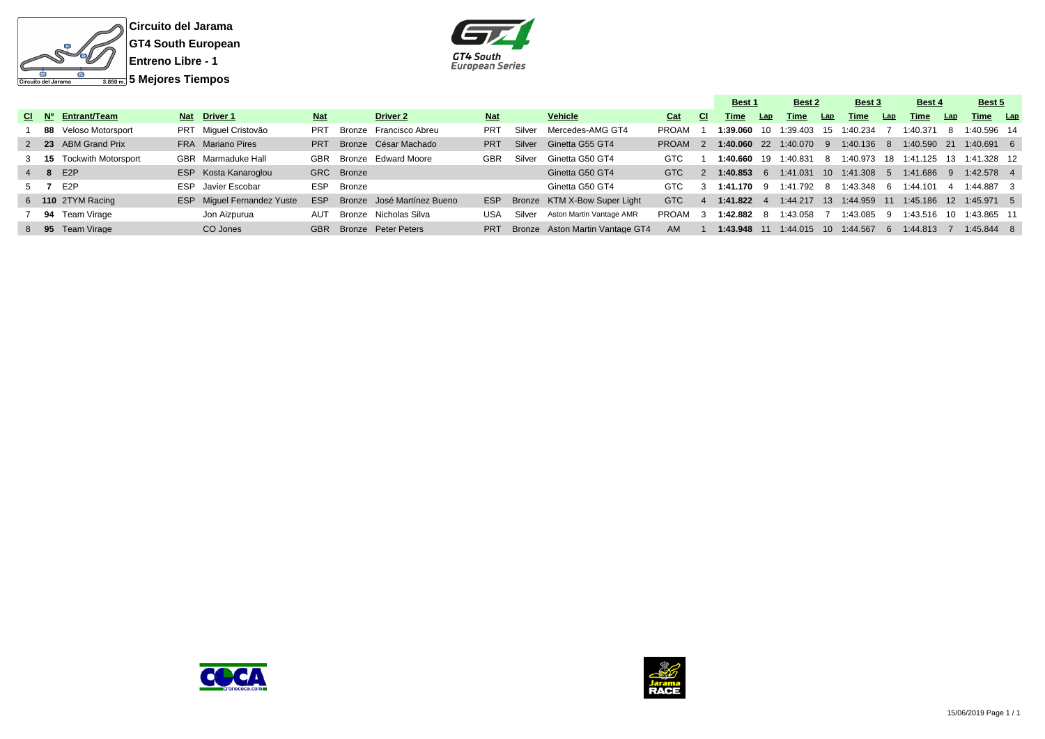



|  |                               |                                   |            |            |                                |            |        |                                 |            |               | Best 1       |     | Best 2                                        |     | Best 3     |     | Best 4                                         |      | Best 5       |  |
|--|-------------------------------|-----------------------------------|------------|------------|--------------------------------|------------|--------|---------------------------------|------------|---------------|--------------|-----|-----------------------------------------------|-----|------------|-----|------------------------------------------------|------|--------------|--|
|  | $CI$ $N^{\circ}$ Entrant/Team | Nat Driver 1                      | <b>Nat</b> |            | Driver 2                       | <b>Nat</b> |        | Vehicle                         | Cat        | CI.           | Time         | Lap | Time                                          | Lap | Time       | Lap | <b>Time</b>                                    | Lap  | Time Lap     |  |
|  | 88 Veloso Motorsport          | PRT Miquel Cristovão              | <b>PRT</b> |            | Bronze Francisco Abreu         | <b>PRT</b> | Silver | Mercedes-AMG GT4                | PROAM      |               |              |     | 1:39.060 10 1:39.403 15 1:40.234              |     |            |     | 1:40.371                                       |      | 1:40.596 14  |  |
|  | 2 23 ABM Grand Prix           | FRA Mariano Pires                 | <b>PRT</b> |            | Bronze César Machado           | <b>PRT</b> | Silver | Ginetta G55 GT4                 | PROAM      |               |              |     | 1:40.060 22 1:40.070 9 1:40.136 8 1:40.590 21 |     |            |     |                                                |      | $1:40.691$ 6 |  |
|  | 3 15 Tockwith Motorsport      | GBR Marmaduke Hall                | GBR        |            | Bronze Edward Moore            | GBR        | Silver | Ginetta G50 GT4                 | <b>GTC</b> |               | 1:40.660     | 19  | 1:40.831                                      |     | 8 1:40.973 |     |                                                |      | 1:41.328 12  |  |
|  | 4 8 E2P                       | ESP Kosta Kanaroglou              |            | GRC Bronze |                                |            |        | Ginetta G50 GT4                 | <b>GTC</b> | $\mathcal{P}$ | $1:40.853$ 6 |     | 1:41.031                                      |     |            |     | 10 1:41.308 5 1:41.686 9                       |      | $1:42.578$ 4 |  |
|  | 5 7 E2P                       | ESP Javier Escobar                | <b>ESP</b> | Bronze     |                                |            |        | Ginetta G50 GT4                 | GTC        |               | 1:41.170 9   |     | 1:41.792 8 1:43.348                           |     |            | - 6 | 1:44.101                                       |      | 1:44.887 3   |  |
|  | 6 110 2TYM Racing             | <b>ESP</b> Miquel Fernandez Yuste | <b>ESP</b> |            | Bronze José Martínez Bueno     | <b>ESP</b> |        | Bronze KTM X-Bow Super Light    | <b>GTC</b> |               | 1:41.822     |     |                                               |     |            |     | 1:44.217 13 1:44.959 11 1:45.186 12 1:45.971 5 |      |              |  |
|  | 94 Team Virage                | Jon Aizpurua                      | AUT        |            | Bronze Nicholas Silva          | USA        | Silver | Aston Martin Vantage AMR        | PROAM 3    |               | 1:42.882 8   |     | 1:43.058                                      |     | 1:43.085   | -9  | 1:43.516                                       | - 10 | 1:43.865 11  |  |
|  | 8 95 Team Virage              | CO Jones                          |            |            | <b>GBR</b> Bronze Peter Peters | <b>PRT</b> |        | Bronze Aston Martin Vantage GT4 | AM         |               | 1:43.948 11  |     | 1:44.015  10  1:44.567                        |     |            | 6   | 1:44.813                                       |      | $1:45.844$ 8 |  |



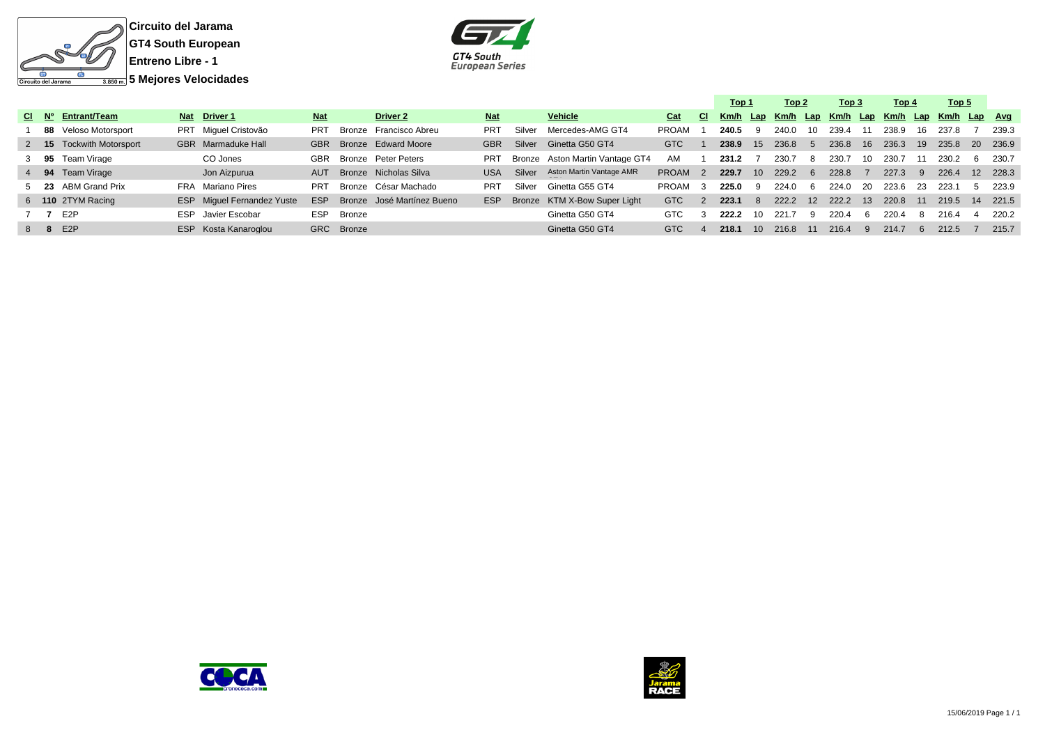



|  |                          |                                   |            |            |                            |            |        |                                 |              |               | Top 1                               |                 | Top 2 |                  | Top 3 |      | Top 4 |     | Top 5        |     |       |
|--|--------------------------|-----------------------------------|------------|------------|----------------------------|------------|--------|---------------------------------|--------------|---------------|-------------------------------------|-----------------|-------|------------------|-------|------|-------|-----|--------------|-----|-------|
|  | CI Nº Entrant/Team       | Nat Driver 1                      | <b>Nat</b> |            | Driver 2                   | <b>Nat</b> |        | Vehicle                         | Cat          | CI.           | Km/h Lap Km/h Lap Km/h Lap Km/h Lap |                 |       |                  |       |      |       |     | Km/h Lap Avg |     |       |
|  | 88 Veloso Motorsport     | PRT Miquel Cristovão              | <b>PRT</b> | Bronze     | Francisco Abreu            | <b>PRT</b> | Silver | Mercedes-AMG GT4                | <b>PROAM</b> |               | 240.5                               | 9               | 240.0 | 10               | 239.4 |      | 238.9 | 16  | 237.8        |     | 239.3 |
|  | 2 15 Tockwith Motorsport | GBR Marmaduke Hall                |            |            | GBR Bronze Edward Moore    | <b>GBR</b> | Silver | Ginetta G50 GT4                 | <b>GTC</b>   |               | 238.9                               | 15              | 236.8 | -5               | 236.8 | 16   | 236.3 | 19  | 235.8        | -20 | 236.9 |
|  | 3 95 Team Virage         | CO Jones                          | <b>GBR</b> |            | Bronze Peter Peters        | <b>PRT</b> |        | Bronze Aston Martin Vantage GT4 | AM           |               | 231.2                               |                 | 230.7 | 8                | 230.7 | 10.  | 230.7 |     | 230.2        |     | 230.7 |
|  | 4 94 Team Virage         | Jon Aizpurua                      | <b>AUT</b> |            | Bronze Nicholas Silva      | <b>USA</b> | Silver | Aston Martin Vantage AMR        | <b>PROAM</b> | $\mathcal{P}$ | 229.7                               | 10 <sup>1</sup> | 229.2 | -6               | 228.8 |      | 227.3 |     | 226.4        | 12  | 228.3 |
|  | 5 23 ABM Grand Prix      | FRA Mariano Pires                 | PRT        |            | Bronze César Machado       | <b>PRT</b> | Silver | Ginetta G55 GT4                 | <b>PROAM</b> | -3            | 225.0                               | -9              | 224.0 | -6               | 224.0 | - 20 | 223.6 | -23 | 223.1        | -5  | 223.9 |
|  | 6 110 2TYM Racing        | <b>ESP</b> Miquel Fernandez Yuste | <b>ESP</b> |            | Bronze José Martínez Bueno | ESP.       |        | Bronze KTM X-Bow Super Light    | <b>GTC</b>   | 2             | 223.1                               | -8              | 222.2 | 12 <sup>12</sup> | 222.2 | -13  | 220.8 | -11 | 219.5        | -14 | 221.5 |
|  | 7 7 E2P                  | ESP Javier Escobar                | <b>ESP</b> | Bronze     |                            |            |        | Ginetta G50 GT4                 | GTC          |               | 222.2                               | 10              | 221.7 | 9                | 220.4 | -6   | 220.4 | -8  | 216.4        |     | 220.2 |
|  | 8 8 E2P                  | ESP Kosta Kanaroglou              |            | GRC Bronze |                            |            |        | Ginetta G50 GT4                 | <b>GTC</b>   |               | 218.1                               | 10 <sup>1</sup> | 216.8 | -11              | 216.4 | 9    | 214.7 |     | 212.5        |     | 215.7 |
|  |                          |                                   |            |            |                            |            |        |                                 |              |               |                                     |                 |       |                  |       |      |       |     |              |     |       |





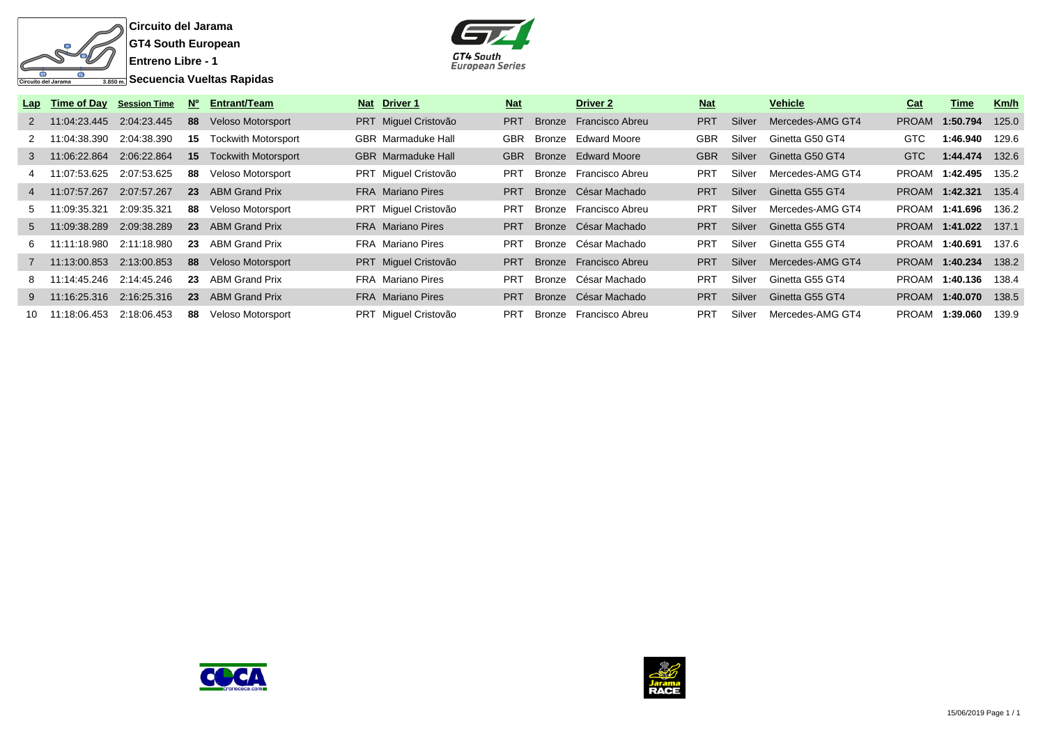

**Circuito del Jarama GT4 South European Entreno Libre - 1**

 $\overline{\mathbb{S}_{\mathsf{R}}$  Secuencia Vueltas Rapidas



|    |                              | Lap Time of Day Session Time | N°  | <b>Entrant/Team</b>        | Nat Driver 1              | <b>Nat</b> | Driver 2               | <b>Nat</b> |        | <b>Vehicle</b>   | Cat          | Time                  | Km/h  |
|----|------------------------------|------------------------------|-----|----------------------------|---------------------------|------------|------------------------|------------|--------|------------------|--------------|-----------------------|-------|
|    | 2 11:04:23.445 2:04:23.445   |                              |     | 88 Veloso Motorsport       | PRT Miguel Cristovão      | <b>PRT</b> | Bronze Francisco Abreu | <b>PRT</b> | Silver | Mercedes-AMG GT4 | <b>PROAM</b> | 1:50.794              | 125.0 |
|    | 2 11:04:38.390               | 2:04:38.390                  | 15  | <b>Tockwith Motorsport</b> | <b>GBR</b> Marmaduke Hall | <b>GBR</b> | Bronze Edward Moore    | <b>GBR</b> | Silver | Ginetta G50 GT4  | GTC          | 1:46.940              | 129.6 |
|    | 3 11:06:22.864               | 2:06:22.864                  |     | 15 Tockwith Motorsport     | <b>GBR</b> Marmaduke Hall | <b>GBR</b> | Bronze Edward Moore    | <b>GBR</b> | Silver | Ginetta G50 GT4  | <b>GTC</b>   | 1:44.474              | 132.6 |
|    | 11:07:53.625                 | 2:07:53.625                  | 88  | Veloso Motorsport          | PRT Miguel Cristovão      | <b>PRT</b> | Bronze Francisco Abreu | <b>PRT</b> | Silver | Mercedes-AMG GT4 | <b>PROAM</b> | 1:42.495              | 135.2 |
|    | 4 11:07:57.267               | 2:07:57.267                  |     | <b>23</b> ABM Grand Prix   | <b>FRA</b> Mariano Pires  | <b>PRT</b> | Bronze César Machado   | <b>PRT</b> | Silver | Ginetta G55 GT4  |              | PROAM 1:42.321        | 135.4 |
|    | 5 11:09:35.321               | 2:09:35.321                  |     | 88 Veloso Motorsport       | PRT Miguel Cristovão      | PRT        | Bronze Francisco Abreu | <b>PRT</b> | Silver | Mercedes-AMG GT4 |              | PROAM 1:41.696        | 136.2 |
|    | 5 11:09:38.289               | 2:09:38.289                  |     | 23 ABM Grand Prix          | <b>FRA</b> Mariano Pires  | <b>PRT</b> | Bronze César Machado   | <b>PRT</b> | Silver | Ginetta G55 GT4  |              | PROAM 1:41.022        | 137.1 |
| 6. | 11:11:18.980 2:11:18.980     |                              | -23 | ABM Grand Prix             | FRA Mariano Pires         | <b>PRT</b> | Bronze César Machado   | <b>PRT</b> | Silver | Ginetta G55 GT4  | PROAM        | 1:40.691              | 137.6 |
|    | 7  11:13:00.853  2:13:00.853 |                              |     | 88 Veloso Motorsport       | PRT Miguel Cristovão      | PRT        | Bronze Francisco Abreu | <b>PRT</b> | Silver | Mercedes-AMG GT4 |              | PROAM 1:40.234        | 138.2 |
|    | 11:14:45.246 2:14:45.246     |                              | -23 | ABM Grand Prix             | <b>FRA</b> Mariano Pires  | PRT        | Bronze César Machado   | <b>PRT</b> | Silver | Ginetta G55 GT4  | PROAM        | 1:40.136              | 138.4 |
|    |                              |                              |     | 23 ABM Grand Prix          | <b>FRA</b> Mariano Pires  | <b>PRT</b> | Bronze César Machado   | <b>PRT</b> | Silver | Ginetta G55 GT4  |              | <b>PROAM 1:40.070</b> | 138.5 |
| 10 | 11:18:06.453                 | 2:18:06.453                  | 88  | Veloso Motorsport          | PRT Miquel Cristovão      | <b>PRT</b> | Bronze Francisco Abreu | <b>PRT</b> | Silver | Mercedes-AMG GT4 | <b>PROAM</b> | 1:39.060              | 139.9 |



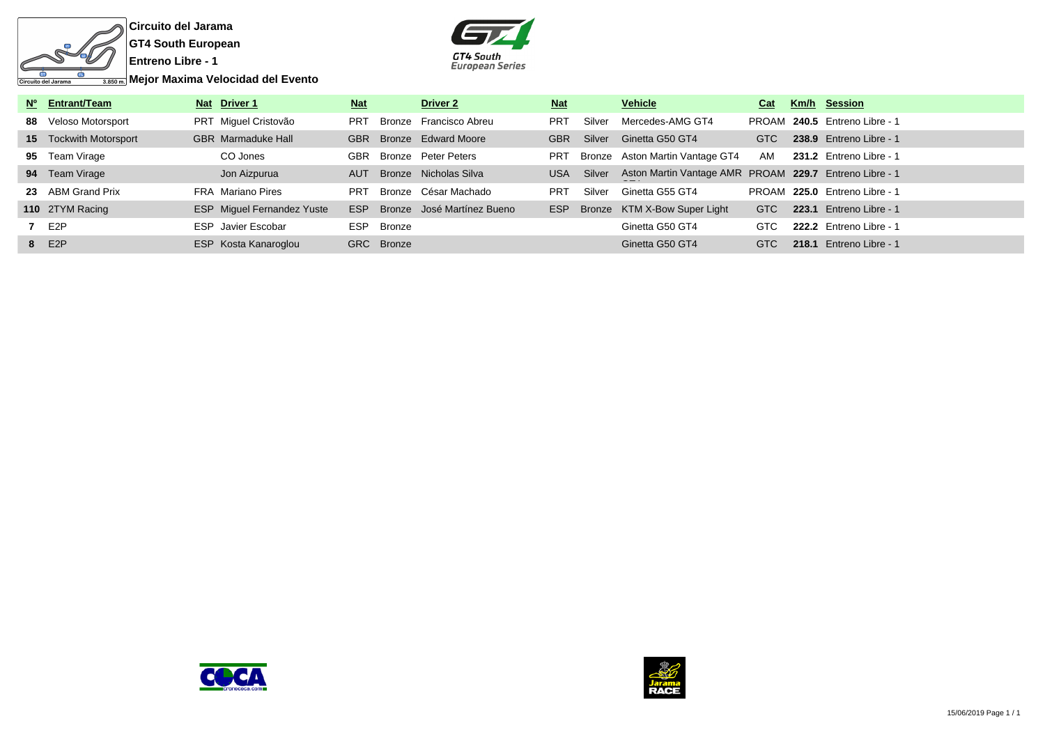

**Circuito del Jarama GT4 South European**



| Nº Entrant/Team        | Nat Driver 1                      | <b>Nat</b> |            | Driver <sub>2</sub>        | <u>Nat</u> |        | <b>Vehicle</b>                                         | Cat        |       | Km/h Session                  |
|------------------------|-----------------------------------|------------|------------|----------------------------|------------|--------|--------------------------------------------------------|------------|-------|-------------------------------|
| 88 Veloso Motorsport   | PRT Miguel Cristovão              | <b>PRT</b> |            | Bronze Francisco Abreu     | <b>PRT</b> | Silver | Mercedes-AMG GT4                                       |            |       | PROAM 240.5 Entreno Libre - 1 |
| 15 Tockwith Motorsport | <b>GBR</b> Marmaduke Hall         | <b>GBR</b> |            | Bronze Edward Moore        | <b>GBR</b> | Silver | Ginetta G50 GT4                                        | <b>GTC</b> |       | 238.9 Entreno Libre - 1       |
| 95 Team Virage         | CO Jones                          | GBR        |            | Bronze Peter Peters        | <b>PRT</b> |        | Bronze Aston Martin Vantage GT4                        | AM         |       | 231.2 Entreno Libre - 1       |
| 94 Team Virage         | Jon Aizpurua                      | AUT        |            | Bronze Nicholas Silva      | <b>USA</b> | Silver | Aston Martin Vantage AMR PROAM 229.7 Entreno Libre - 1 |            |       |                               |
| 23 ABM Grand Prix      | FRA Mariano Pires                 | <b>PRT</b> |            | Bronze César Machado       | <b>PRT</b> | Silver | Ginetta G55 GT4                                        |            |       | PROAM 225.0 Entreno Libre - 1 |
| 110 2TYM Racing        | <b>ESP</b> Miguel Fernandez Yuste | <b>ESP</b> |            | Bronze José Martínez Bueno | ESP        | Bronze | KTM X-Bow Super Light                                  | <b>GTC</b> | 223.1 | Entreno Libre - 1             |
| 7 E2P                  | <b>ESP</b> Javier Escobar         | <b>ESP</b> | Bronze     |                            |            |        | Ginetta G50 GT4                                        | GTC        |       | 222.2 Entreno Libre - 1       |
| 8 E2P                  | ESP Kosta Kanaroglou              |            | GRC Bronze |                            |            |        | Ginetta G50 GT4                                        | <b>GTC</b> |       | 218.1 Entreno Libre - 1       |